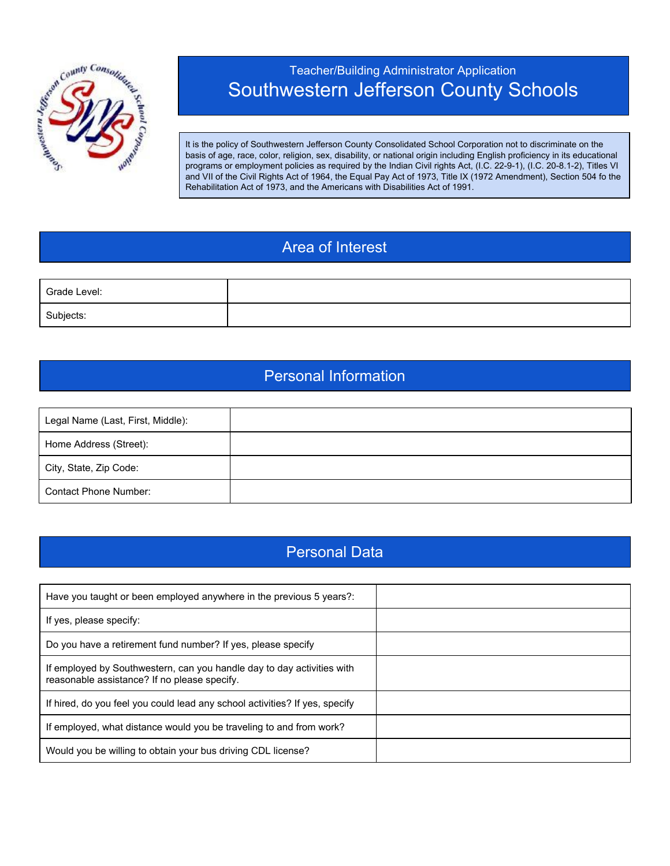

# Teacher/Building Administrator Application Southwestern Jefferson County Schools

It is the policy of Southwestern Jefferson County Consolidated School Corporation not to discriminate on the basis of age, race, color, religion, sex, disability, or national origin including English proficiency in its educational programs or employment policies as required by the Indian Civil rights Act, (I.C. 22-9-1), (I.C. 20-8.1-2), Titles VI and VII of the Civil Rights Act of 1964, the Equal Pay Act of 1973, Title IX (1972 Amendment), Section 504 fo the Rehabilitation Act of 1973, and the Americans with Disabilities Act of 1991.

## Area of Interest

| Grade Level: |  |
|--------------|--|
| Subjects:    |  |

#### Personal Information

| Legal Name (Last, First, Middle): |  |
|-----------------------------------|--|
| Home Address (Street):            |  |
| City, State, Zip Code:            |  |
| Contact Phone Number:             |  |

### Personal Data

| Have you taught or been employed anywhere in the previous 5 years?:                                                    |  |
|------------------------------------------------------------------------------------------------------------------------|--|
| If yes, please specify:                                                                                                |  |
| Do you have a retirement fund number? If yes, please specify                                                           |  |
| If employed by Southwestern, can you handle day to day activities with<br>reasonable assistance? If no please specify. |  |
| If hired, do you feel you could lead any school activities? If yes, specify                                            |  |
| If employed, what distance would you be traveling to and from work?                                                    |  |
| Would you be willing to obtain your bus driving CDL license?                                                           |  |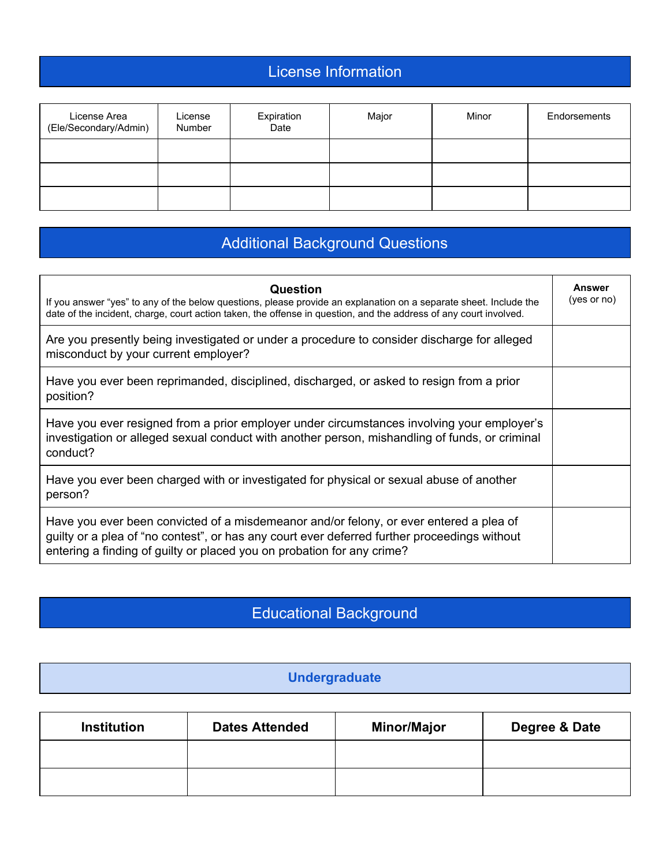# License Information

| License Area<br>(Ele/Secondary/Admin) | License<br>Number | Expiration<br>Date | Major | Minor | Endorsements |
|---------------------------------------|-------------------|--------------------|-------|-------|--------------|
|                                       |                   |                    |       |       |              |
|                                       |                   |                    |       |       |              |
|                                       |                   |                    |       |       |              |

# Additional Background Questions

| Question<br>If you answer "yes" to any of the below questions, please provide an explanation on a separate sheet. Include the<br>date of the incident, charge, court action taken, the offense in question, and the address of any court involved.               | Answer<br>(yes or no) |
|------------------------------------------------------------------------------------------------------------------------------------------------------------------------------------------------------------------------------------------------------------------|-----------------------|
| Are you presently being investigated or under a procedure to consider discharge for alleged<br>misconduct by your current employer?                                                                                                                              |                       |
| Have you ever been reprimanded, disciplined, discharged, or asked to resign from a prior<br>position?                                                                                                                                                            |                       |
| Have you ever resigned from a prior employer under circumstances involving your employer's<br>investigation or alleged sexual conduct with another person, mishandling of funds, or criminal<br>conduct?                                                         |                       |
| Have you ever been charged with or investigated for physical or sexual abuse of another<br>person?                                                                                                                                                               |                       |
| Have you ever been convicted of a misdemeanor and/or felony, or ever entered a plea of<br>guilty or a plea of "no contest", or has any court ever deferred further proceedings without<br>entering a finding of guilty or placed you on probation for any crime? |                       |

# Educational Background

#### **Undergraduate**

| <b>Institution</b> | <b>Dates Attended</b> | <b>Minor/Major</b> | Degree & Date |
|--------------------|-----------------------|--------------------|---------------|
|                    |                       |                    |               |
|                    |                       |                    |               |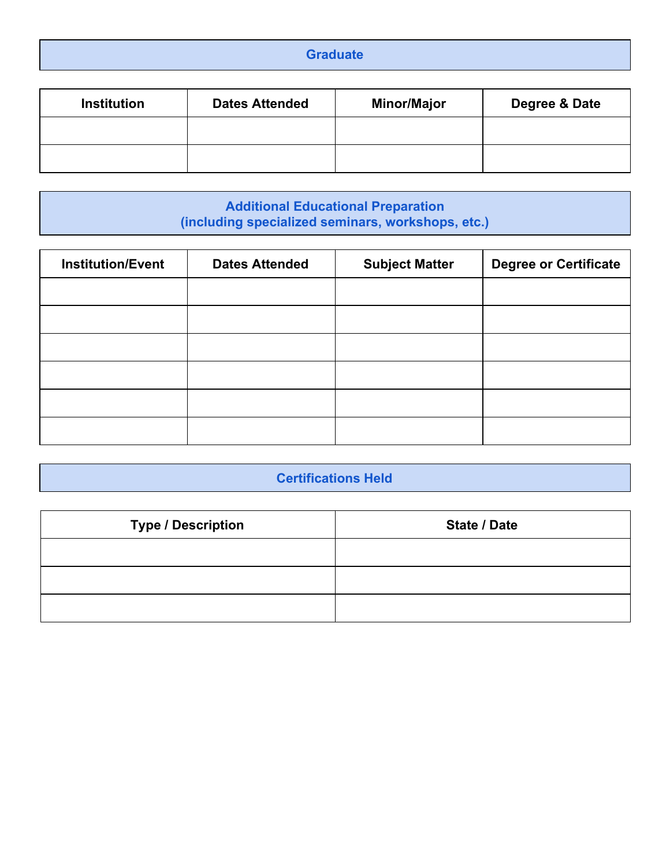| $\sim$ |
|--------|
|--------|

| <b>Institution</b> | <b>Dates Attended</b> | <b>Minor/Major</b> | Degree & Date |
|--------------------|-----------------------|--------------------|---------------|
|                    |                       |                    |               |
|                    |                       |                    |               |

**Additional Educational Preparation (including specialized seminars, workshops, etc.)**

| <b>Institution/Event</b> | <b>Dates Attended</b> | <b>Subject Matter</b> | <b>Degree or Certificate</b> |
|--------------------------|-----------------------|-----------------------|------------------------------|
|                          |                       |                       |                              |
|                          |                       |                       |                              |
|                          |                       |                       |                              |
|                          |                       |                       |                              |
|                          |                       |                       |                              |
|                          |                       |                       |                              |

### **Certifications Held**

| <b>Type / Description</b> | <b>State / Date</b> |
|---------------------------|---------------------|
|                           |                     |
|                           |                     |
|                           |                     |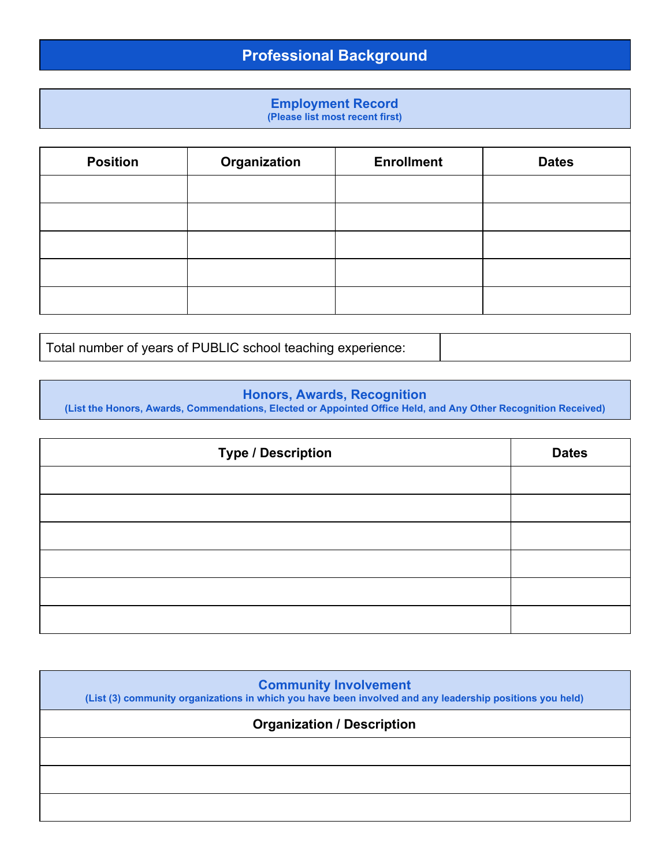# **Professional Background**

# **Employment Record**

**(Please list most recent first)**

| <b>Position</b> | Organization | <b>Enrollment</b> | <b>Dates</b> |
|-----------------|--------------|-------------------|--------------|
|                 |              |                   |              |
|                 |              |                   |              |
|                 |              |                   |              |
|                 |              |                   |              |
|                 |              |                   |              |

Total number of years of PUBLIC school teaching experience:

#### **Honors, Awards, Recognition**

**(List the Honors, Awards, Commendations, Elected or Appointed Office Held, and Any Other Recognition Received)**

| <b>Type / Description</b> | <b>Dates</b> |
|---------------------------|--------------|
|                           |              |
|                           |              |
|                           |              |
|                           |              |
|                           |              |
|                           |              |

| <b>Community Involvement</b><br>(List (3) community organizations in which you have been involved and any leadership positions you held) |  |  |  |
|------------------------------------------------------------------------------------------------------------------------------------------|--|--|--|
| <b>Organization / Description</b>                                                                                                        |  |  |  |
|                                                                                                                                          |  |  |  |
|                                                                                                                                          |  |  |  |
|                                                                                                                                          |  |  |  |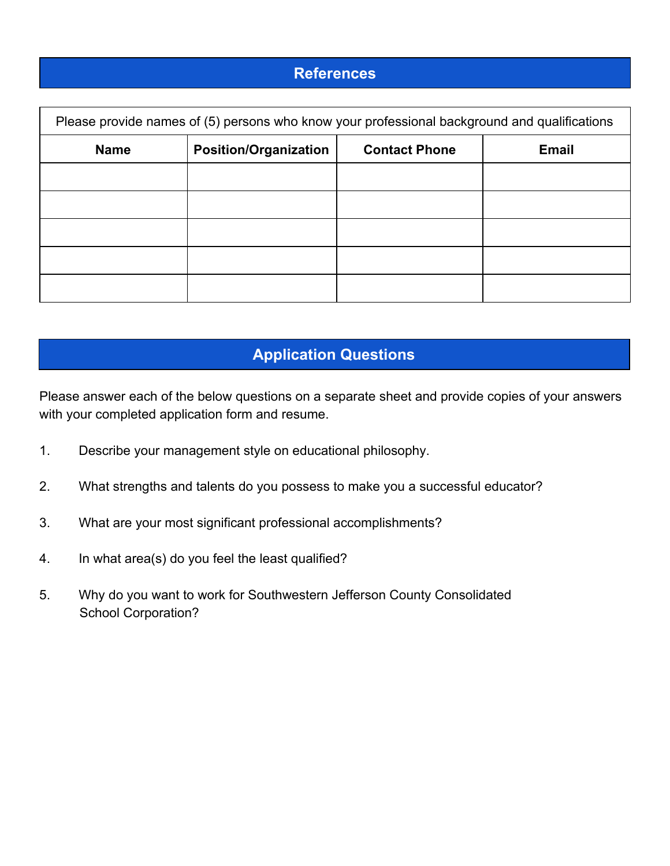#### **References**

| Please provide names of (5) persons who know your professional background and qualifications |                              |                      |              |
|----------------------------------------------------------------------------------------------|------------------------------|----------------------|--------------|
| <b>Name</b>                                                                                  | <b>Position/Organization</b> | <b>Contact Phone</b> | <b>Email</b> |
|                                                                                              |                              |                      |              |
|                                                                                              |                              |                      |              |
|                                                                                              |                              |                      |              |
|                                                                                              |                              |                      |              |
|                                                                                              |                              |                      |              |

## **Application Questions**

Please answer each of the below questions on a separate sheet and provide copies of your answers with your completed application form and resume.

- 1. Describe your management style on educational philosophy.
- 2. What strengths and talents do you possess to make you a successful educator?
- 3. What are your most significant professional accomplishments?
- 4. In what area(s) do you feel the least qualified?
- 5. Why do you want to work for Southwestern Jefferson County Consolidated School Corporation?